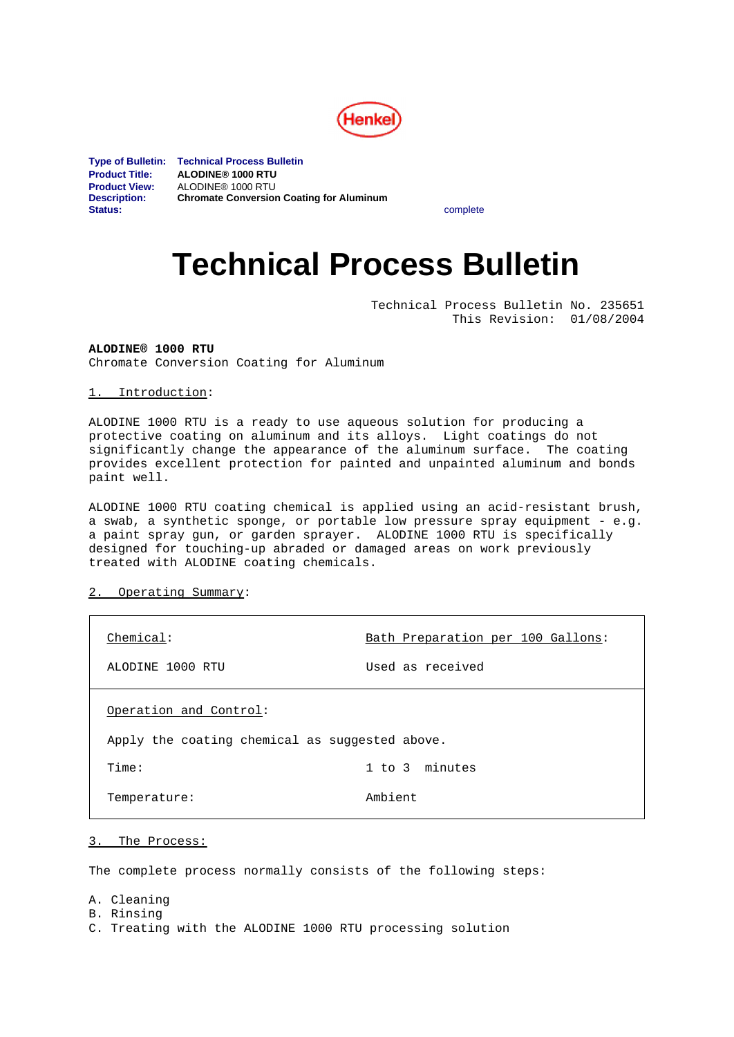

**Type of Bulletin: Technical Process Bulletin Product Title: ALODINE® 1000 RTU Product View:** ALODINE<sup>®</sup> 1000 RTU<br>Description: **Chromate Conversion Chromate Conversion Coating for Aluminum Status:** complete

# **Technical Process Bulletin**

Technical Process Bulletin No. 235651 This Revision: 01/08/2004

**ALODINE® 1000 RTU** Chromate Conversion Coating for Aluminum

1. Introduction:

ALODINE 1000 RTU is a ready to use aqueous solution for producing a protective coating on aluminum and its alloys. Light coatings do not significantly change the appearance of the aluminum surface. The coating provides excellent protection for painted and unpainted aluminum and bonds paint well.

ALODINE 1000 RTU coating chemical is applied using an acid-resistant brush, a swab, a synthetic sponge, or portable low pressure spray equipment - e.g. a paint spray gun, or garden sprayer. ALODINE 1000 RTU is specifically designed for touching-up abraded or damaged areas on work previously treated with ALODINE coating chemicals.

2. Operating Summary:

| Chemical:                                      | Bath Preparation per 100 Gallons: |
|------------------------------------------------|-----------------------------------|
| ALODINE 1000 RTU                               | Used as received                  |
| Operation and Control:                         |                                   |
| Apply the coating chemical as suggested above. |                                   |
| Time:                                          | 1 to 3 minutes                    |
| Temperature:                                   | Ambient                           |

3. The Process:

The complete process normally consists of the following steps:

A. Cleaning B. Rinsing C. Treating with the ALODINE 1000 RTU processing solution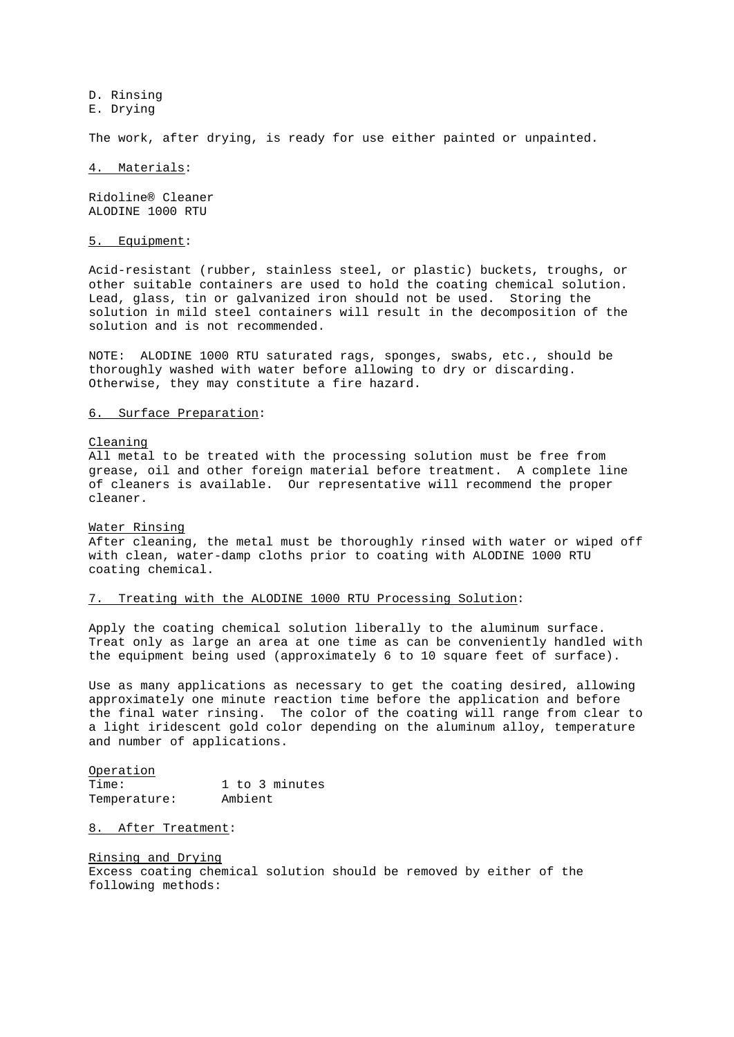D. Rinsing E. Drying

The work, after drying, is ready for use either painted or unpainted.

## 4. Materials:

Ridoline® Cleaner ALODINE 1000 RTU

## 5. Equipment:

Acid-resistant (rubber, stainless steel, or plastic) buckets, troughs, or other suitable containers are used to hold the coating chemical solution. Lead, glass, tin or galvanized iron should not be used. Storing the solution in mild steel containers will result in the decomposition of the solution and is not recommended.

NOTE: ALODINE 1000 RTU saturated rags, sponges, swabs, etc., should be thoroughly washed with water before allowing to dry or discarding. Otherwise, they may constitute a fire hazard.

# 6. Surface Preparation:

### Cleaning

All metal to be treated with the processing solution must be free from grease, oil and other foreign material before treatment. A complete line of cleaners is available. Our representative will recommend the proper cleaner.

## Water Rinsing

After cleaning, the metal must be thoroughly rinsed with water or wiped off with clean, water-damp cloths prior to coating with ALODINE 1000 RTU coating chemical.

# 7. Treating with the ALODINE 1000 RTU Processing Solution:

Apply the coating chemical solution liberally to the aluminum surface. Treat only as large an area at one time as can be conveniently handled with the equipment being used (approximately 6 to 10 square feet of surface).

Use as many applications as necessary to get the coating desired, allowing approximately one minute reaction time before the application and before the final water rinsing. The color of the coating will range from clear to a light iridescent gold color depending on the aluminum alloy, temperature and number of applications.

Operation Time: 1 to 3 minutes Temperature: Ambient

# 8. After Treatment:

Rinsing and Drying Excess coating chemical solution should be removed by either of the following methods: